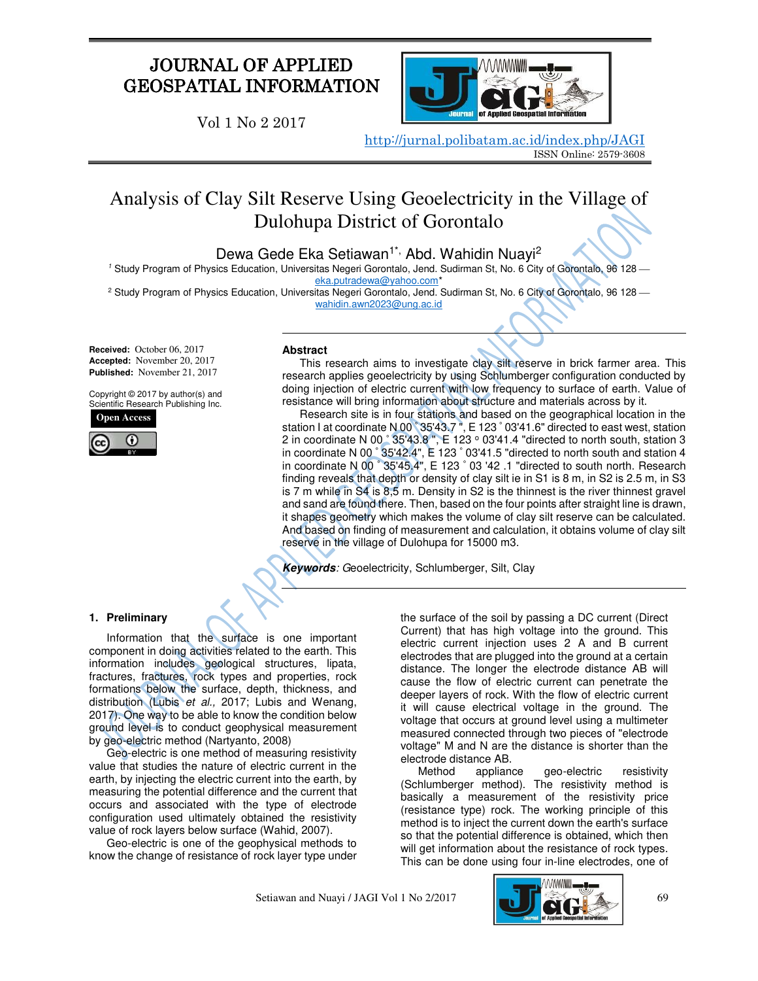# JOURNAL OF APPLIED GEOSPATIAL INFORMATION

Vol 1 No 2 2017



<http://jurnal.polibatam.ac.id/index.php/JAGI> ISSN Online: 2579-3608

# Analysis of Clay Silt Reserve Using Geoelectricity in the Village of Dulohupa District of Gorontalo

Dewa Gede Eka Setiawan<sup>1\*,</sup> Abd. Wahidin Nuayi<sup>2</sup>

<sup>1</sup> Study Program of Physics Education, Universitas Negeri Gorontalo, Jend. Sudirman St, No. 6 City of Gorontalo, 96 128 eka.putradewa@yahoo.com

 $^2$  Study Program of Physics Education, Universitas Negeri Gorontalo, Jend. Sudirman St, No. 6 City of Gorontalo, 96 128 [wahidin.awn2023@ung.ac.id](mailto:wahidin.awn2023@ung.ac.id) 

**Received:** October 06, 2017 **Accepted:** November 20, 2017 **Published:** November 21, 2017

Copyright © 2017 by author(s) and Scientific Research Publishing Inc.



# **Abstract**

This research aims to investigate clay silt reserve in brick farmer area. This research applies geoelectricity by using Schlumberger configuration conducted by doing injection of electric current with low frequency to surface of earth. Value of resistance will bring information about structure and materials across by it.

Research site is in four stations and based on the geographical location in the station I at coordinate N 00 ° 35'43.7 ", E 123 ° 03'41.6" directed to east west, station 2 in coordinate N 00 $\degree$  35'43.8", E 123  $\degree$  03'41.4 "directed to north south, station 3 in coordinate N 00 ° 35'42.4", E 123 ° 03'41.5 "directed to north south and station 4 in coordinate N 00 ° 35'45.4", E 123 ° 03 '42 .1 "directed to south north. Research finding reveals that depth or density of clay silt ie in S1 is 8 m, in S2 is 2.5 m, in S3 is 7 m while in S4 is 8,5 m. Density in S2 is the thinnest is the river thinnest gravel and sand are found there. Then, based on the four points after straight line is drawn, it shapes geometry which makes the volume of clay silt reserve can be calculated. And based on finding of measurement and calculation, it obtains volume of clay silt reserve in the village of Dulohupa for 15000 m3.

**Keywords***: G*eoelectricity, Schlumberger, Silt, Clay

# **1. Preliminary**

Information that the surface is one important component in doing activities related to the earth. This information includes geological structures, lipata, fractures, fractures, rock types and properties, rock formations below the surface, depth, thickness, and distribution (Lubis *et al.,* 2017; Lubis and Wenang, 2017). One way to be able to know the condition below ground level is to conduct geophysical measurement by geo-electric method (Nartyanto, 2008)

Geo-electric is one method of measuring resistivity value that studies the nature of electric current in the earth, by injecting the electric current into the earth, by measuring the potential difference and the current that occurs and associated with the type of electrode configuration used ultimately obtained the resistivity value of rock layers below surface (Wahid, 2007).

Geo-electric is one of the geophysical methods to know the change of resistance of rock layer type under

the surface of the soil by passing a DC current (Direct Current) that has high voltage into the ground. This electric current injection uses 2 A and B current electrodes that are plugged into the ground at a certain distance. The longer the electrode distance AB will cause the flow of electric current can penetrate the deeper layers of rock. With the flow of electric current it will cause electrical voltage in the ground. The voltage that occurs at ground level using a multimeter measured connected through two pieces of "electrode voltage" M and N are the distance is shorter than the electrode distance AB.

Method appliance geo-electric resistivity (Schlumberger method). The resistivity method is basically a measurement of the resistivity price (resistance type) rock. The working principle of this method is to inject the current down the earth's surface so that the potential difference is obtained, which then will get information about the resistance of rock types. This can be done using four in-line electrodes, one of

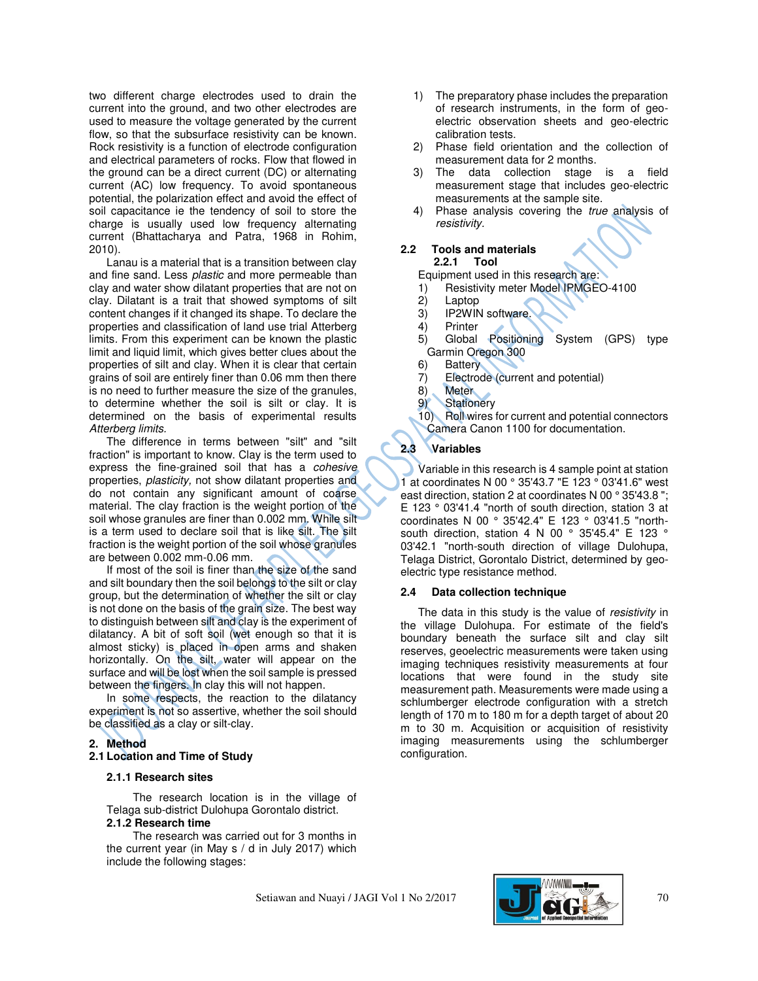two different charge electrodes used to drain the current into the ground, and two other electrodes are used to measure the voltage generated by the current flow, so that the subsurface resistivity can be known. Rock resistivity is a function of electrode configuration and electrical parameters of rocks. Flow that flowed in the ground can be a direct current (DC) or alternating current (AC) low frequency. To avoid spontaneous potential, the polarization effect and avoid the effect of soil capacitance ie the tendency of soil to store the charge is usually used low frequency alternating current (Bhattacharya and Patra, 1968 in Rohim, 2010).

Lanau is a material that is a transition between clay and fine sand. Less *plastic* and more permeable than clay and water show dilatant properties that are not on clay. Dilatant is a trait that showed symptoms of silt content changes if it changed its shape. To declare the properties and classification of land use trial Atterberg limits*.* From this experiment can be known the plastic limit and liquid limit, which gives better clues about the properties of silt and clay. When it is clear that certain grains of soil are entirely finer than 0.06 mm then there is no need to further measure the size of the granules, to determine whether the soil is silt or clay. It is determined on the basis of experimental results *Atterberg limits.*

The difference in terms between "silt" and "silt fraction" is important to know. Clay is the term used to express the fine-grained soil that has a *cohesive* properties, *plasticity,* not show dilatant properties and do not contain any significant amount of coarse material. The clay fraction is the weight portion of the soil whose granules are finer than 0.002 mm. While silt is a term used to declare soil that is like silt. The silt fraction is the weight portion of the soil whose granules are between 0.002 mm-0.06 mm.

If most of the soil is finer than the size of the sand and silt boundary then the soil belongs to the silt or clay group, but the determination of whether the silt or clay is not done on the basis of the grain size. The best way to distinguish between silt and clay is the experiment of dilatancy. A bit of soft soil (wet enough so that it is almost sticky) is placed in open arms and shaken horizontally. On the silt, water will appear on the surface and will be lost when the soil sample is pressed between the fingers. In clay this will not happen.

In some respects, the reaction to the dilatancy experiment is not so assertive, whether the soil should be classified as a clay or silt-clay.

### **2. Method**

#### **2.1 Location and Time of Study**

#### **2.1.1 Research sites**

The research location is in the village of Telaga sub-district Dulohupa Gorontalo district. **2.1.2 Research time** 

The research was carried out for 3 months in the current year (in May s / d in July 2017) which include the following stages:

- 1) The preparatory phase includes the preparation of research instruments, in the form of geoelectric observation sheets and geo-electric calibration tests.
- 2) Phase field orientation and the collection of measurement data for 2 months.
- 3) The data collection stage is a field measurement stage that includes geo-electric measurements at the sample site.
- 4) Phase analysis covering the *true* analysis of *resistivity.*

#### **2.2 Tools and materials 2.2.1 Tool**

Equipment used in this research are:

- 1) Resistivity meter Model IPMGEO-4100
- 2) Laptop
- 3) IP2WIN software.
- 4) Printer
- 5) Global Positioning System (GPS) type Garmin Oregon 300
- 6) Battery
- 7) Electrode (current and potential)
- 8) Meter<br>9) Station
- Stationery
- 10) Roll wires for current and potential connectors Camera Canon 1100 for documentation.

# **2.3 Variables**

Variable in this research is 4 sample point at station 1 at coordinates N 00 ° 35'43.7 "E 123 ° 03'41.6" west east direction, station 2 at coordinates N 00 ° 35'43.8 "; E 123 ° 03'41.4 "north of south direction, station 3 at coordinates N 00 ° 35'42.4" E 123 ° 03'41.5 "northsouth direction, station 4 N 00 ° 35'45.4" E 123 ° 03'42.1 "north-south direction of village Dulohupa, Telaga District, Gorontalo District, determined by geoelectric type resistance method.

#### **2.4 Data collection technique**

The data in this study is the value of *resistivity* in the village Dulohupa. For estimate of the field's boundary beneath the surface silt and clay silt reserves, geoelectric measurements were taken using imaging techniques resistivity measurements at four locations that were found in the study site measurement path. Measurements were made using a schlumberger electrode configuration with a stretch length of 170 m to 180 m for a depth target of about 20 m to 30 m. Acquisition or acquisition of resistivity imaging measurements using the schlumberger configuration.

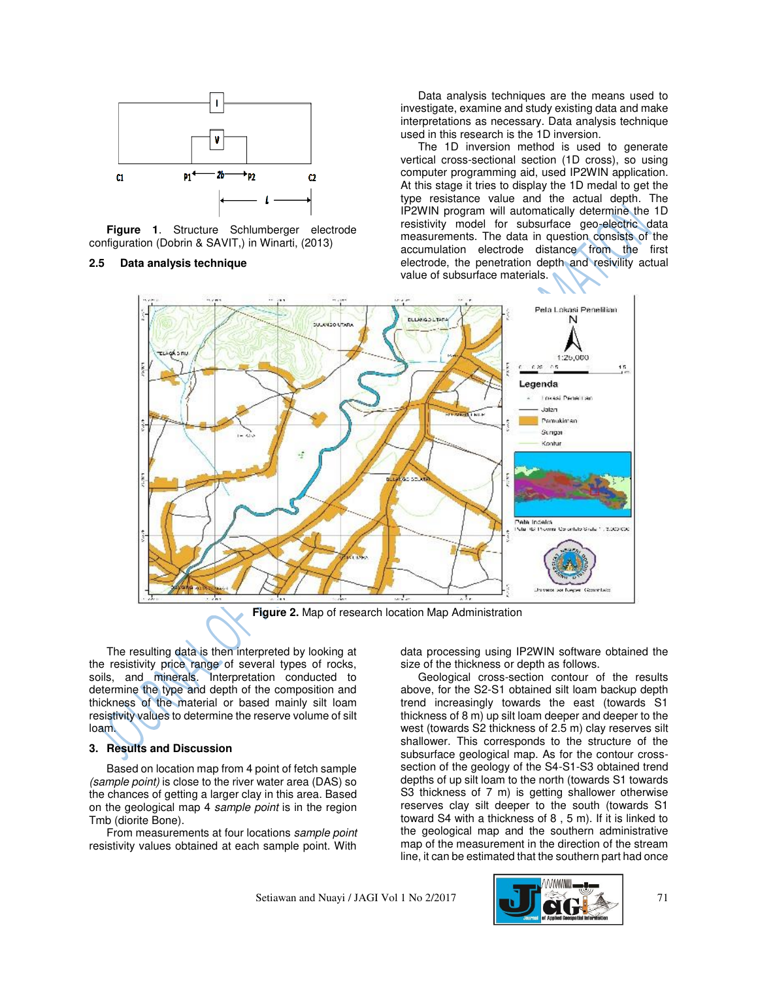

**Figure 1**. Structure Schlumberger electrode configuration (Dobrin & SAVIT,) in Winarti, (2013)

## **2.5 Data analysis technique**

Data analysis techniques are the means used to investigate, examine and study existing data and make interpretations as necessary. Data analysis technique used in this research is the 1D inversion.

The 1D inversion method is used to generate vertical cross-sectional section (1D cross), so using computer programming aid, used IP2WIN application. At this stage it tries to display the 1D medal to get the type resistance value and the actual depth. The IP2WIN program will automatically determine the 1D resistivity model for subsurface geo-electric data measurements. The data in question consists of the accumulation electrode distance from the first electrode, the penetration depth and resivility actual value of subsurface materials.



**Figure 2.** Map of research location Map Administration

The resulting data is then interpreted by looking at the resistivity price range of several types of rocks, soils, and minerals. Interpretation conducted to determine the type and depth of the composition and thickness of the material or based mainly silt loam resistivity values to determine the reserve volume of silt loam.

### **3. Results and Discussion**

Based on location map from 4 point of fetch sample *(sample point)* is close to the river water area (DAS) so the chances of getting a larger clay in this area. Based on the geological map 4 *sample point* is in the region Tmb (diorite Bone).

From measurements at four locations *sample point* resistivity values obtained at each sample point. With

data processing using IP2WIN software obtained the size of the thickness or depth as follows.

Geological cross-section contour of the results above, for the S2-S1 obtained silt loam backup depth trend increasingly towards the east (towards S1 thickness of 8 m) up silt loam deeper and deeper to the west (towards S2 thickness of 2.5 m) clay reserves silt shallower. This corresponds to the structure of the subsurface geological map. As for the contour crosssection of the geology of the S4-S1-S3 obtained trend depths of up silt loam to the north (towards S1 towards S3 thickness of 7 m) is getting shallower otherwise reserves clay silt deeper to the south (towards S1 toward S4 with a thickness of 8 , 5 m). If it is linked to the geological map and the southern administrative map of the measurement in the direction of the stream line, it can be estimated that the southern part had once

Setiawan and Nuayi / JAGI Vol 1 No 2/2017 71

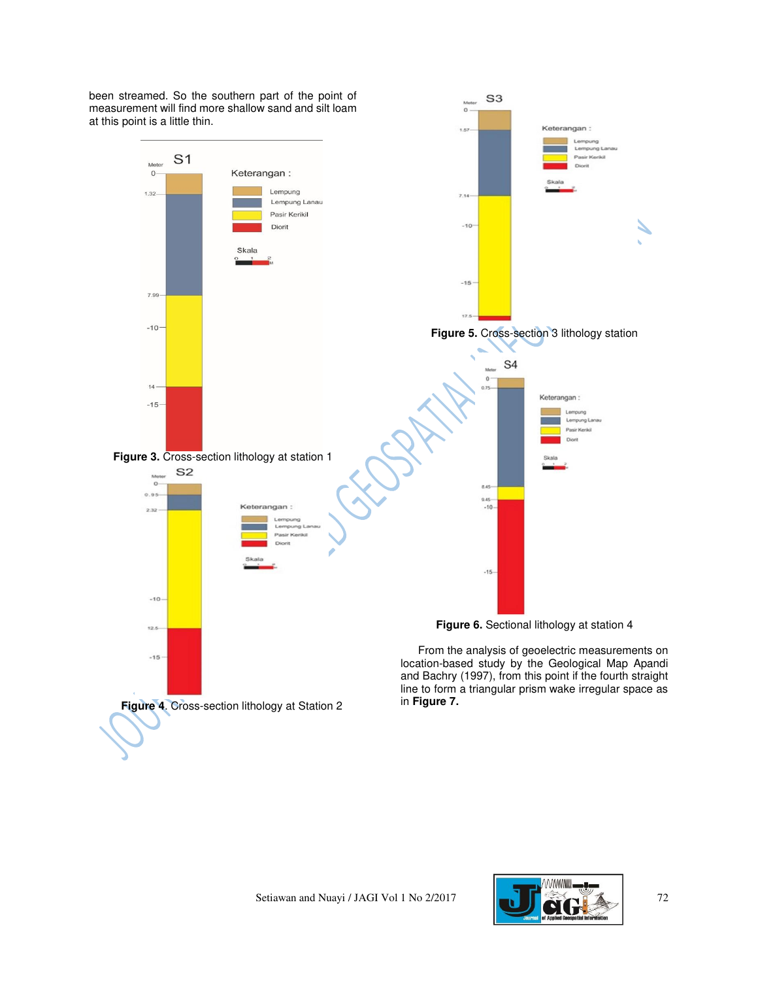measurement will find more shallow sand and silt loam  $\circ$ at this point is a little thin. Keterangan:  $5.82$  $Ler$ npung L  $S<sub>1</sub>$ Mete Direct  $\mathbf{0}$ Keterangan: Lempung  $1.32$  $7.14$ Lempung Lanau Pasir Kerikil  $-10$ Diorit Skala  $-15$ 7.99 17.5  $-10$ **Figure 5.** Cross-section 3 lithology station S<sub>4</sub> **LEARN**  $0$  $14$  $0.75 -$ Keterangan:  $-15 -$ Lempung Lan Pasir Kerikil **Figure 3.** Cross-section lithology at station 1 S<sub>2</sub> i.  $\overline{\mathbf{o}}$ 8.45- $0.95$  $9.45 -$ <br>-10-Keterangan: 2.32 ng Pasir Ke  $-15$  $-10$ **Figure 6.** Sectional lithology at station 4  $12.5$ From the analysis of geoelectric measurements on  $-15$ location-based study by the Geological Map Apandi and Bachry (1997), from this point if the fourth straight line to form a triangular prism wake irregular space as in **Figure 7. Figure 4**. Cross-section lithology at Station 2

S<sub>3</sub>

been streamed. So the southern part of the point of

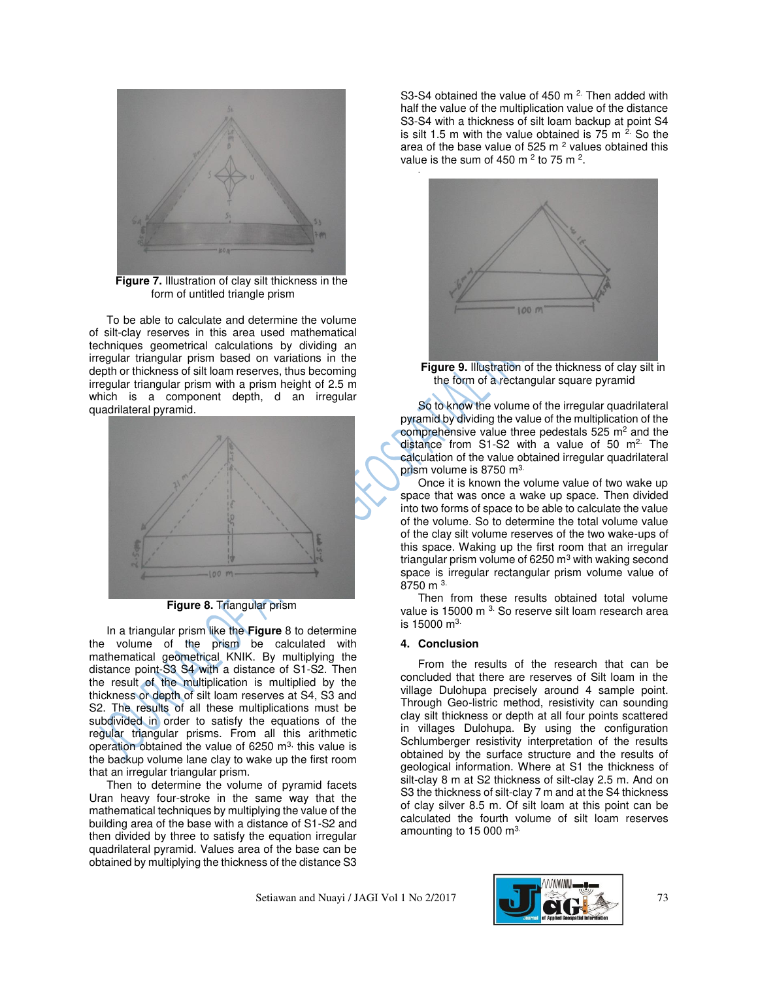

**Figure 7.** Illustration of clay silt thickness in the form of untitled triangle prism

To be able to calculate and determine the volume of silt-clay reserves in this area used mathematical techniques geometrical calculations by dividing an irregular triangular prism based on variations in the depth or thickness of silt loam reserves, thus becoming irregular triangular prism with a prism height of 2.5 m which is a component depth, d an irregular quadrilateral pyramid.



**Figure 8.** Triangular prism

In a triangular prism like the **Figure** 8 to determine the volume of the prism be calculated with mathematical geometrical KNIK. By multiplying the distance point-S3 S4 with a distance of S1-S2. Then the result of the multiplication is multiplied by the thickness or depth of silt loam reserves at S4, S3 and S2. The results of all these multiplications must be subdivided in order to satisfy the equations of the regular triangular prisms. From all this arithmetic operation obtained the value of 6250 m<sup>3,</sup> this value is the backup volume lane clay to wake up the first room that an irregular triangular prism.

Then to determine the volume of pyramid facets Uran heavy four-stroke in the same way that the mathematical techniques by multiplying the value of the building area of the base with a distance of S1-S2 and then divided by three to satisfy the equation irregular quadrilateral pyramid. Values area of the base can be obtained by multiplying the thickness of the distance S3 S3-S4 obtained the value of 450 m<sup>2.</sup> Then added with half the value of the multiplication value of the distance S3-S4 with a thickness of silt loam backup at point S4 is silt 1.5 m with the value obtained is  $75$  m  $2$ . So the area of the base value of 525 m  $^2$  values obtained this value is the sum of 450 m  $^2$  to 75 m  $^2$ .



**Figure 9.** Illustration of the thickness of clay silt in the form of a rectangular square pyramid

So to know the volume of the irregular quadrilateral pyramid by dividing the value of the multiplication of the comprehensive value three pedestals  $525 \text{ m}^2$  and the distance from S1-S2 with a value of 50  $m<sup>2</sup>$ . The calculation of the value obtained irregular quadrilateral prism volume is 8750 m<sup>3.</sup>

Once it is known the volume value of two wake up space that was once a wake up space. Then divided into two forms of space to be able to calculate the value of the volume. So to determine the total volume value of the clay silt volume reserves of the two wake-ups of this space. Waking up the first room that an irregular triangular prism volume of 6250  $\mathsf{m}^{3}$  with waking second space is irregular rectangular prism volume value of 8750 m 3.

Then from these results obtained total volume value is 15000 m<sup>3.</sup> So reserve silt loam research area is 15000 m3.

# **4. Conclusion**

.

From the results of the research that can be concluded that there are reserves of Silt loam in the village Dulohupa precisely around 4 sample point. Through Geo-listric method, resistivity can sounding clay silt thickness or depth at all four points scattered in villages Dulohupa. By using the configuration Schlumberger resistivity interpretation of the results obtained by the surface structure and the results of geological information. Where at S1 the thickness of silt-clay 8 m at S2 thickness of silt-clay 2.5 m. And on S3 the thickness of silt-clay 7 m and at the S4 thickness of clay silver 8.5 m. Of silt loam at this point can be calculated the fourth volume of silt loam reserves amounting to 15 000 m<sup>3.</sup>